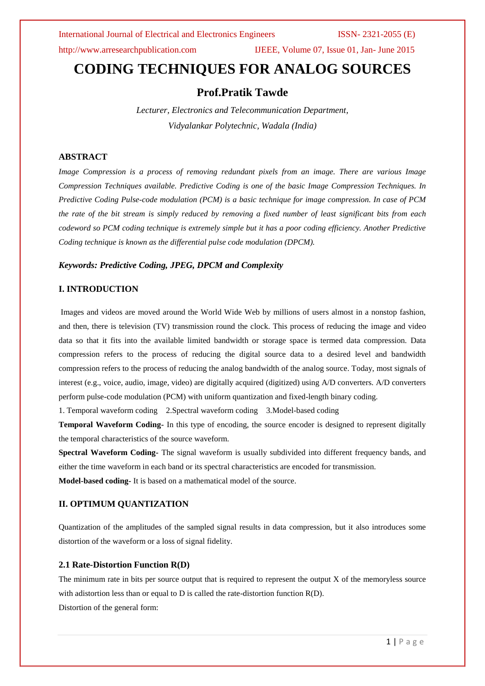http://www.arresearchpublication.com IJEEE, Volume 07, Issue 01, Jan- June 2015

# **CODING TECHNIQUES FOR ANALOG SOURCES**

# **Prof.Pratik Tawde**

*Lecturer, Electronics and Telecommunication Department, Vidyalankar Polytechnic, Wadala (India)*

### **ABSTRACT**

*Image Compression is a process of removing redundant pixels from an image. There are various Image Compression Techniques available. Predictive Coding is one of the basic Image Compression Techniques. In Predictive Coding Pulse-code modulation (PCM) is a basic technique for image compression. In case of PCM the rate of the bit stream is simply reduced by removing a fixed number of least significant bits from each codeword so PCM coding technique is extremely simple but it has a poor coding efficiency. Another Predictive Coding technique is known as the differential pulse code modulation (DPCM).* 

### *Keywords: Predictive Coding, JPEG, DPCM and Complexity*

### **I. INTRODUCTION**

Images and videos are moved around the World Wide Web by millions of users almost in a nonstop fashion, and then, there is television (TV) transmission round the clock. This process of reducing the image and video data so that it fits into the available limited bandwidth or storage space is termed data compression. Data compression refers to the process of reducing the digital source data to a desired level and bandwidth compression refers to the process of reducing the analog bandwidth of the analog source. Today, most signals of interest (e.g., voice, audio, image, video) are digitally acquired (digitized) using A/D converters. A/D converters perform pulse-code modulation (PCM) with uniform quantization and fixed-length binary coding.

1. Temporal waveform coding 2.Spectral waveform coding 3.Model-based coding

**Temporal Waveform Coding-** In this type of encoding, the source encoder is designed to represent digitally the temporal characteristics of the source waveform.

**Spectral Waveform Coding-** The signal waveform is usually subdivided into different frequency bands, and either the time waveform in each band or its spectral characteristics are encoded for transmission.

**Model-based coding-** It is based on a mathematical model of the source.

### **II. OPTIMUM QUANTIZATION**

Quantization of the amplitudes of the sampled signal results in data compression, but it also introduces some distortion of the waveform or a loss of signal fidelity.

### **2.1 Rate-Distortion Function R(D)**

The minimum rate in bits per source output that is required to represent the output X of the memoryless source with adistortion less than or equal to D is called the rate-distortion function R(D). Distortion of the general form: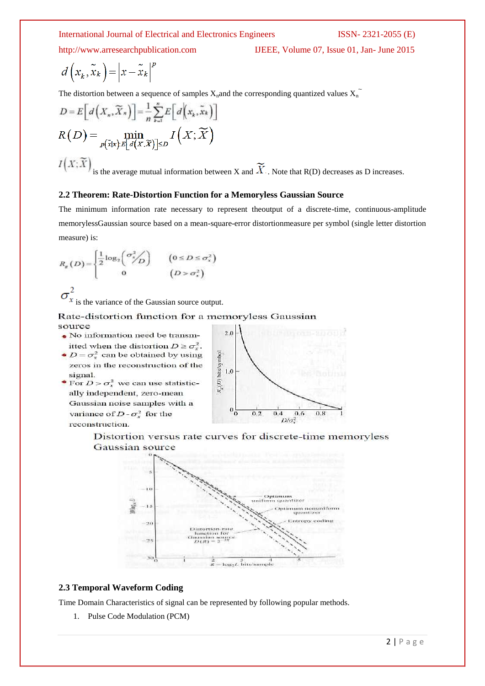$$
d\left(x_k, \tilde{x}_k\right) = \left|x - \tilde{x}_k\right|^p
$$

The distortion between a sequence of samples  $X_n$  and the corresponding quantized values  $X_n$ 

$$
D = E\Big[d\Big(X_n, \widetilde{X}_n\Big)\Big] = \frac{1}{n} \sum_{k=1}^n E\Big[d\Big(X_k, \widetilde{X}_k\Big)\Big]
$$

$$
R\Big(D\Big) = \min_{P(\widetilde{X}|X) \in [d(X, \widetilde{X})] \le D} I\Big(X; \widetilde{X}\Big)
$$

 $I(X;\widetilde{X})$ is the average mutual information between X and  $\widetilde{X}$ . Note that R(D) decreases as D increases.

### **2.2 Theorem: Rate-Distortion Function for a Memoryless Gaussian Source**

The minimum information rate necessary to represent theoutput of a discrete-time, continuous-amplitude memorylessGaussian source based on a mean-square-error distortionmeasure per symbol (single letter distortion measure) is:

$$
R_g(D) = \begin{cases} \frac{1}{2} \log_2 \left( \frac{\sigma_s^2}{2} \right) & \left( 0 \le D \le \sigma_s^2 \right) \\ 0 & \left( D > \sigma_s^2 \right) \end{cases}
$$

 $\sigma_x^2$ is the variance of the Gaussian source output.

Rate-distortion function for a memoryless Gaussian source

- $\bullet$  No information need be transmitted when the distortion  $D \ge \sigma_v^2$ .
- $D = \sigma_x^2$  can be obtained by using zeros in the reconstruction of the signal.
- For  $D > \sigma_x^2$  we can use statistically independent, zero-mean Gaussian noise samples with a variance of  $D - \sigma_x^2$  for the reconstruction.



Distortion versus rate curves for discrete-time memoryless Gaussian source



### **2.3 Temporal Waveform Coding**

Time Domain Characteristics of signal can be represented by following popular methods.

1. Pulse Code Modulation (PCM)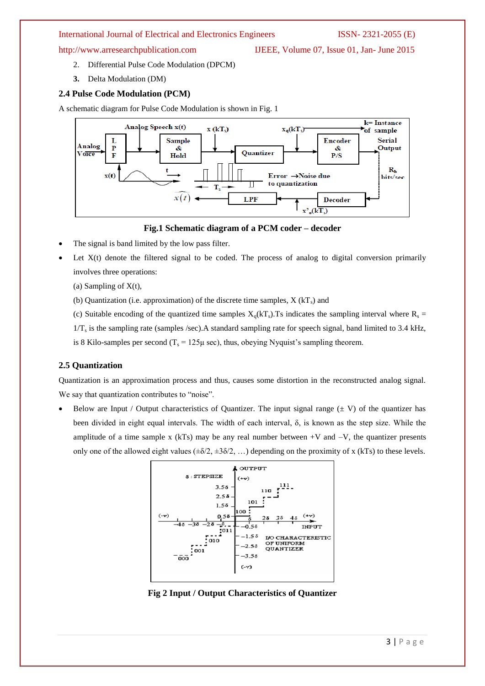http://www.arresearchpublication.com IJEEE, Volume 07, Issue 01, Jan- June 2015

- 2. Differential Pulse Code Modulation (DPCM)
- **3.** Delta Modulation (DM)

### **2.4 Pulse Code Modulation (PCM)**

A schematic diagram for Pulse Code Modulation is shown in Fig. 1



### **Fig.1 Schematic diagram of a PCM coder – decoder**

- The signal is band limited by the low pass filter.
- Let  $X(t)$  denote the filtered signal to be coded. The process of analog to digital conversion primarily involves three operations:
	- (a) Sampling of  $X(t)$ ,
	- (b) Quantization (i.e. approximation) of the discrete time samples,  $X(KT_s)$  and
	- (c) Suitable encoding of the quantized time samples  $X_0(kT_s)$ . Ts indicates the sampling interval where  $R_s =$

 $1/T_s$  is the sampling rate (samples /sec). A standard sampling rate for speech signal, band limited to 3.4 kHz,

is 8 Kilo-samples per second  $(T_s = 125\mu \text{ sec})$ , thus, obeying Nyquist's sampling theorem.

# **2.5 Quantization**

Quantization is an approximation process and thus, causes some distortion in the reconstructed analog signal. We say that quantization contributes to "noise".

Below are Input / Output characteristics of Quantizer. The input signal range  $(\pm V)$  of the quantizer has been divided in eight equal intervals. The width of each interval, δ, is known as the step size. While the amplitude of a time sample x (kTs) may be any real number between  $+V$  and  $-V$ , the quantizer presents only one of the allowed eight values  $(\pm \delta/2, \pm 3\delta/2, ...)$  depending on the proximity of x (kTs) to these levels.



**Fig 2 Input / Output Characteristics of Quantizer**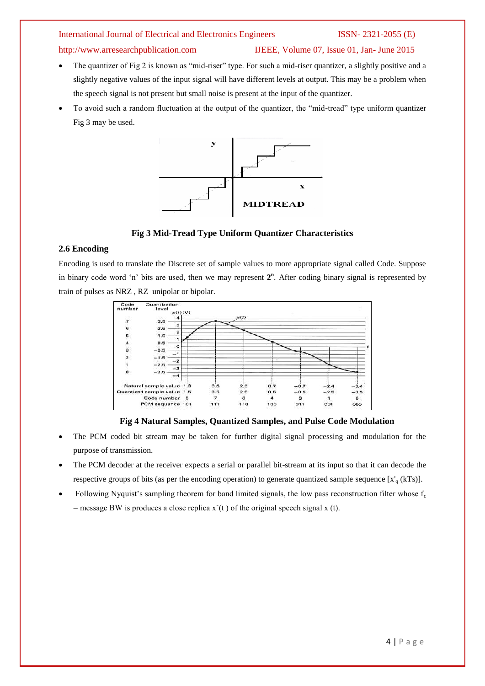## http://www.arresearchpublication.com IJEEE, Volume 07, Issue 01, Jan- June 2015

- The quantizer of Fig 2 is known as "mid-riser" type. For such a mid-riser quantizer, a slightly positive and a slightly negative values of the input signal will have different levels at output. This may be a problem when the speech signal is not present but small noise is present at the input of the quantizer.
- To avoid such a random fluctuation at the output of the quantizer, the "mid-tread" type uniform quantizer Fig 3 may be used.



**Fig 3 Mid-Tread Type Uniform Quantizer Characteristics**

### **2.6 Encoding**

Encoding is used to translate the Discrete set of sample values to more appropriate signal called Code. Suppose in binary code word 'n' bits are used, then we may represent  $2<sup>n</sup>$ . After coding binary signal is represented by train of pulses as NRZ , RZ unipolar or bipolar.



### **Fig 4 Natural Samples, Quantized Samples, and Pulse Code Modulation**

- The PCM coded bit stream may be taken for further digital signal processing and modulation for the purpose of transmission.
- The PCM decoder at the receiver expects a serial or parallel bit-stream at its input so that it can decode the respective groups of bits (as per the encoding operation) to generate quantized sample sequence  $[x'_q(kTs)]$ .
- Following Nyquist's sampling theorem for band limited signals, the low pass reconstruction filter whose  $f_c$  $=$  message BW is produces a close replica  $x^*(t)$  of the original speech signal x (t).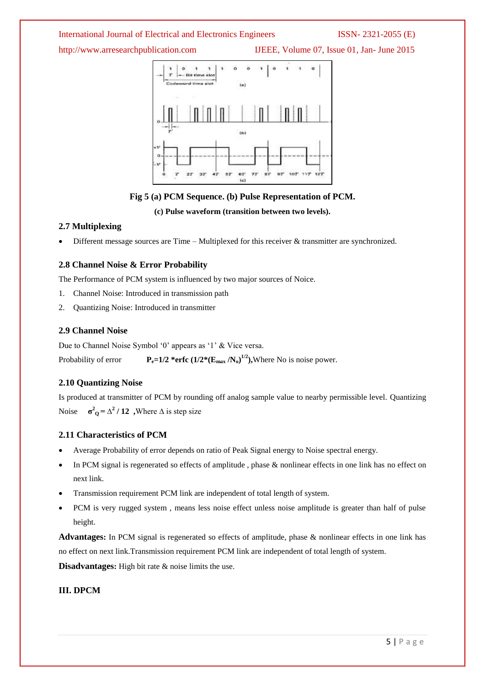http://www.arresearchpublication.com IJEEE, Volume 07, Issue 01, Jan- June 2015



### **Fig 5 (a) PCM Sequence. (b) Pulse Representation of PCM.**

### **(c) Pulse waveform (transition between two levels).**

### **2.7 Multiplexing**

Different message sources are Time – Multiplexed for this receiver & transmitter are synchronized.

### **2.8 Channel Noise & Error Probability**

The Performance of PCM system is influenced by two major sources of Noice.

- 1. Channel Noise: Introduced in transmission path
- 2. Quantizing Noise: Introduced in transmitter

### **2.9 Channel Noise**

Due to Channel Noise Symbol '0' appears as '1' & Vice versa. Probability of error  $P_e=1/2$  \*erfc  $(1/2*(E_{max}/N_0)^{1/2})$ , Where No is noise power.

### **2.10 Quantizing Noise**

Is produced at transmitter of PCM by rounding off analog sample value to nearby permissible level. Quantizing Noise  $\sigma^2$ <sup>2</sup> / 12 , Where  $\Delta$  is step size

### **2.11 Characteristics of PCM**

- Average Probability of error depends on ratio of Peak Signal energy to Noise spectral energy.
- In PCM signal is regenerated so effects of amplitude , phase & nonlinear effects in one link has no effect on next link.
- Transmission requirement PCM link are independent of total length of system.
- PCM is very rugged system , means less noise effect unless noise amplitude is greater than half of pulse height.

**Advantages:** In PCM signal is regenerated so effects of amplitude, phase & nonlinear effects in one link has no effect on next link.Transmission requirement PCM link are independent of total length of system.

**Disadvantages:** High bit rate & noise limits the use.

### **III. DPCM**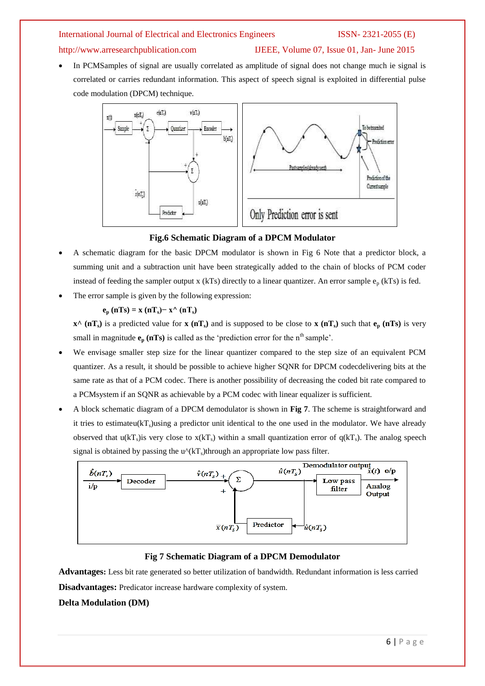### http://www.arresearchpublication.com IJEEE, Volume 07, Issue 01, Jan- June 2015

 In PCMSamples of signal are usually correlated as amplitude of signal does not change much ie signal is correlated or carries redundant information. This aspect of speech signal is exploited in differential pulse code modulation (DPCM) technique.



### **Fig.6 Schematic Diagram of a DPCM Modulator**

- A schematic diagram for the basic DPCM modulator is shown in Fig 6 Note that a predictor block, a summing unit and a subtraction unit have been strategically added to the chain of blocks of PCM coder instead of feeding the sampler output x (kTs) directly to a linear quantizer. An error sample  $e_p$  (kTs) is fed.
- The error sample is given by the following expression:

$$
e_p (nTs) = x (nT_s) - x^{\wedge} (nT_s)
$$

 $\mathbf{x}^{\wedge}$  (nT<sub>s</sub>) is a predicted value for **x** (nT<sub>s</sub>) and is supposed to be close to **x** (nT<sub>s</sub>) such that  $\mathbf{e}_{\mathbf{p}}$  (nTs) is very small in magnitude  $\mathbf{e}_p$  ( $n \text{Ts}$ ) is called as the 'prediction error for the  $n^{\text{th}}$  sample'.

- We envisage smaller step size for the linear quantizer compared to the step size of an equivalent PCM quantizer. As a result, it should be possible to achieve higher SQNR for DPCM codecdelivering bits at the same rate as that of a PCM codec. There is another possibility of decreasing the coded bit rate compared to a PCMsystem if an SQNR as achievable by a PCM codec with linear equalizer is sufficient.
- A block schematic diagram of a DPCM demodulator is shown in **Fig 7**. The scheme is straightforward and it tries to estimateu( $kT_s$ )using a predictor unit identical to the one used in the modulator. We have already observed that  $u(kT_s)$  is very close to  $x(kT_s)$  within a small quantization error of  $q(kT_s)$ . The analog speech signal is obtained by passing the  $u^{(k)}(k)$ through an appropriate low pass filter.



### **Fig 7 Schematic Diagram of a DPCM Demodulator**

**Advantages:** Less bit rate generated so better utilization of bandwidth. Redundant information is less carried **Disadvantages:** Predicator increase hardware complexity of system.

### **Delta Modulation (DM)**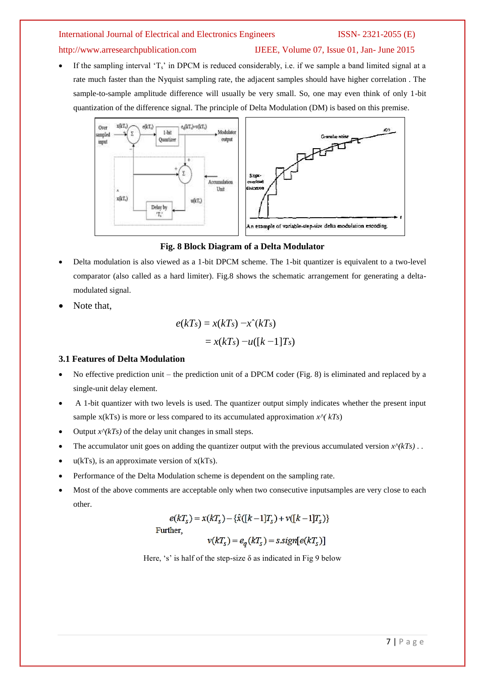# http://www.arresearchpublication.com IJEEE, Volume 07, Issue 01, Jan- June 2015

If the sampling interval  $T_s$  in DPCM is reduced considerably, i.e. if we sample a band limited signal at a rate much faster than the Nyquist sampling rate, the adjacent samples should have higher correlation . The sample-to-sample amplitude difference will usually be very small. So, one may even think of only 1-bit quantization of the difference signal. The principle of Delta Modulation (DM) is based on this premise.



### **Fig. 8 Block Diagram of a Delta Modulator**

- Delta modulation is also viewed as a 1-bit DPCM scheme. The 1-bit quantizer is equivalent to a two-level comparator (also called as a hard limiter). Fig.8 shows the schematic arrangement for generating a deltamodulated signal.
- Note that,

$$
e(kTs) = x(kTs) - x2(kTs)
$$
  
= x(kT<sub>s</sub>) - u([k-1]T<sub>s</sub>)

### **3.1 Features of Delta Modulation**

- $\bullet$  No effective prediction unit the prediction unit of a DPCM coder (Fig. 8) is eliminated and replaced by a single-unit delay element.
- A 1-bit quantizer with two levels is used. The quantizer output simply indicates whether the present input sample  $x(kTs)$  is more or less compared to its accumulated approximation  $x^2(kTs)$
- Output  $x^{\wedge}(kTs)$  of the delay unit changes in small steps.
- The accumulator unit goes on adding the quantizer output with the previous accumulated version  $x^{\wedge}(kTs)$ .
- $\bullet$  u(kTs), is an approximate version of x(kTs).
- Performance of the Delta Modulation scheme is dependent on the sampling rate.
- Most of the above comments are acceptable only when two consecutive inputsamples are very close to each other.

$$
e(kT_s) = x(kT_s) - \{\hat{x}([k-1]T_s) + v([k-1]T_s)\}
$$
  
Further,  

$$
v(kT_s) = e_q(kT_s) = s.sizen[e(kT_s)]
$$

Here, 's' is half of the step-size  $\delta$  as indicated in Fig 9 below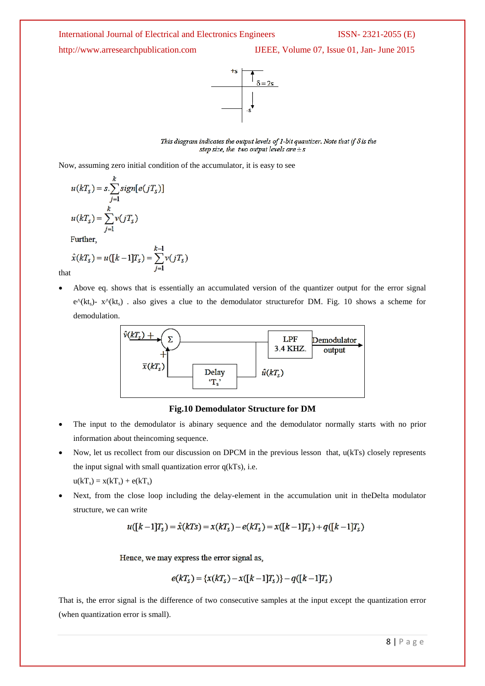http://www.arresearchpublication.com IJEEE, Volume 07, Issue 01, Jan- June 2015



This diagram indicates the output levels of 1-bit quantizer. Note that if  $\delta$  is the step size, the two output levels are  $\pm s$ 

Now, assuming zero initial condition of the accumulator, it is easy to see

$$
u(kTS) = s.\sum_{j=1}^{k} sign[e(jTS)]
$$

$$
u(kTS) = \sum_{j=1}^{k} v(jTS)
$$

Further,

$$
\hat{x}(kT_s) = u([k-1]T_s) = \sum_{j=1}^{k-1} v(jT_s)
$$

that

 Above eq. shows that is essentially an accumulated version of the quantizer output for the error signal  $e^{\Lambda}(kt_{s})$ - x $\Lambda(kt_{s})$ . also gives a clue to the demodulator structurefor DM. Fig. 10 shows a scheme for demodulation.



**Fig.10 Demodulator Structure for DM**

- The input to the demodulator is abinary sequence and the demodulator normally starts with no prior information about theincoming sequence.
- Now, let us recollect from our discussion on DPCM in the previous lesson that, u(kTs) closely represents the input signal with small quantization error q(kTs), i.e.  $u(kT<sub>s</sub>) = x(kT<sub>s</sub>) + e(kT<sub>s</sub>)$
- Next, from the close loop including the delay-element in the accumulation unit in theDelta modulator structure, we can write

$$
u([k-1]T_s) = \hat{x}(kT_s) = x(kT_s) - e(kT_s) = x([k-1]T_s) + q([k-1]T_s)
$$

Hence, we may express the error signal as,

$$
e(kT_s) = \{x(kT_s) - x([k-1]T_s)\} - q([k-1]T_s)
$$

That is, the error signal is the difference of two consecutive samples at the input except the quantization error (when quantization error is small).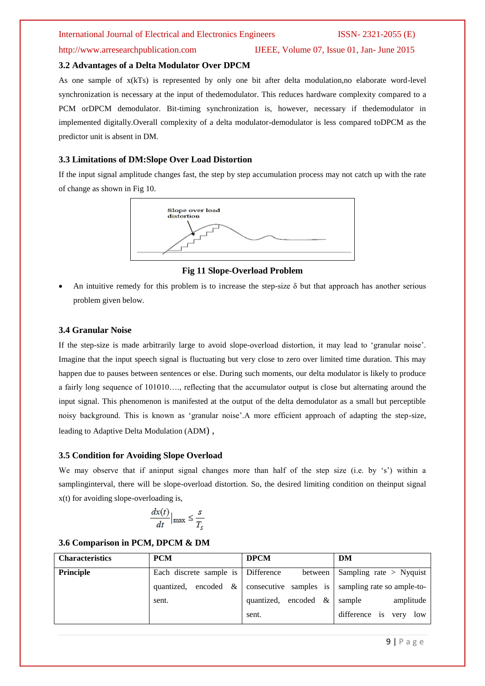### **3.2 Advantages of a Delta Modulator Over DPCM**

As one sample of x(kTs) is represented by only one bit after delta modulation,no elaborate word-level synchronization is necessary at the input of thedemodulator. This reduces hardware complexity compared to a PCM orDPCM demodulator. Bit-timing synchronization is, however, necessary if thedemodulator in implemented digitally.Overall complexity of a delta modulator-demodulator is less compared toDPCM as the predictor unit is absent in DM.

### **3.3 Limitations of DM:Slope Over Load Distortion**

If the input signal amplitude changes fast, the step by step accumulation process may not catch up with the rate of change as shown in Fig 10.



**Fig 11 Slope-Overload Problem**

An intuitive remedy for this problem is to increase the step-size  $\delta$  but that approach has another serious problem given below.

### **3.4 Granular Noise**

If the step-size is made arbitrarily large to avoid slope-overload distortion, it may lead to "granular noise". Imagine that the input speech signal is fluctuating but very close to zero over limited time duration. This may happen due to pauses between sentences or else. During such moments, our delta modulator is likely to produce a fairly long sequence of 101010…., reflecting that the accumulator output is close but alternating around the input signal. This phenomenon is manifested at the output of the delta demodulator as a small but perceptible noisy background. This is known as "granular noise".A more efficient approach of adapting the step-size, leading to Adaptive Delta Modulation (ADM) ,

### **3.5 Condition for Avoiding Slope Overload**

We may observe that if aninput signal changes more than half of the step size (i.e. by 's') within a samplinginterval, there will be slope-overload distortion. So, the desired limiting condition on theinput signal x(t) for avoiding slope-overloading is,

$$
\frac{dx(t)}{dt}\Big|_{\max} \leq \frac{s}{T_s}
$$

### **3.6 Comparison in PCM, DPCM & DM**

| <b>Characteristics</b> | <b>PCM</b>                         | <b>DPCM</b>             | DM                           |
|------------------------|------------------------------------|-------------------------|------------------------------|
| Principle              | Each discrete sample is Difference | between                 | Sampling rate $>$ Nyquist    |
|                        | encoded $\&$<br>quantized,         | consecutive samples is  | sampling rate so ample-to-   |
|                        | sent.                              | quantized, encoded $\&$ | amplitude<br>sample          |
|                        |                                    | sent.                   | difference is<br>low<br>very |

### http://www.arresearchpublication.com IJEEE, Volume 07, Issue 01, Jan- June 2015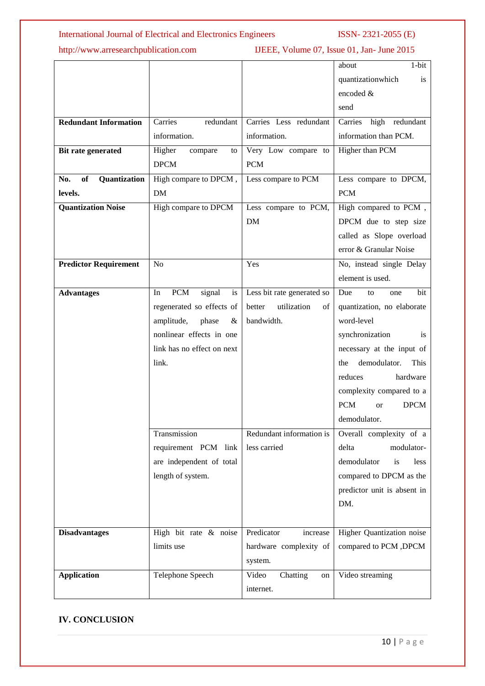# http://www.arresearchpublication.com IJEEE, Volume 07, Issue 01, Jan- June 2015

|                                  |                                  |                             | $1-bit$<br>about                       |
|----------------------------------|----------------------------------|-----------------------------|----------------------------------------|
|                                  |                                  |                             | quantizationwhich<br>is                |
|                                  |                                  |                             | encoded &                              |
|                                  |                                  |                             | send                                   |
| <b>Redundant Information</b>     | Carries<br>redundant             | Carries Less redundant      | high redundant<br>Carries              |
|                                  | information.                     | information.                | information than PCM.                  |
| Bit rate generated               | Higher<br>compare<br>to          | Very Low compare to         | <b>Higher than PCM</b>                 |
|                                  | <b>DPCM</b>                      | <b>PCM</b>                  |                                        |
| Quantization<br><b>of</b><br>No. | High compare to DPCM,            | Less compare to PCM         | Less compare to DPCM,                  |
| levels.                          | DM                               |                             | <b>PCM</b>                             |
| <b>Quantization Noise</b>        | High compare to DPCM             | Less compare to PCM,        | High compared to PCM,                  |
|                                  |                                  | <b>DM</b>                   | DPCM due to step size                  |
|                                  |                                  |                             | called as Slope overload               |
|                                  |                                  |                             | error & Granular Noise                 |
| <b>Predictor Requirement</b>     | N <sub>o</sub>                   | Yes                         | No, instead single Delay               |
|                                  |                                  |                             | element is used.                       |
| <b>Advantages</b>                | <b>PCM</b><br>signal<br>is<br>In | Less bit rate generated so  | Due<br>bit<br>to<br>one                |
|                                  | regenerated so effects of        | utilization<br>better<br>οf | quantization, no elaborate             |
|                                  | amplitude,<br>phase<br>$\&$      | bandwidth.                  | word-level                             |
|                                  | nonlinear effects in one         |                             | synchronization<br>is                  |
|                                  | link has no effect on next       |                             | necessary at the input of              |
|                                  | link.                            |                             | demodulator.<br>This<br>the            |
|                                  |                                  |                             | reduces<br>hardware                    |
|                                  |                                  |                             | complexity compared to a               |
|                                  |                                  |                             | <b>PCM</b><br><b>DPCM</b><br><b>or</b> |
|                                  |                                  |                             | demodulator.                           |
|                                  | Transmission                     | Redundant information is    | Overall complexity of a                |
|                                  | requirement PCM link             | less carried                | delta<br>modulator-                    |
|                                  | are independent of total         |                             | demodulator<br>is<br>less              |
|                                  | length of system.                |                             | compared to DPCM as the                |
|                                  |                                  |                             | predictor unit is absent in            |
|                                  |                                  |                             | DM.                                    |
|                                  |                                  |                             |                                        |
| <b>Disadvantages</b>             | High bit rate & noise            | Predicator<br>increase      | Higher Quantization noise              |
|                                  | limits use                       | hardware complexity of      | compared to PCM , DPCM                 |
|                                  |                                  | system.                     |                                        |
| <b>Application</b>               | Telephone Speech                 | Video<br>Chatting<br>on     | Video streaming                        |
|                                  |                                  | internet.                   |                                        |
|                                  |                                  |                             |                                        |

# **IV. CONCLUSION**